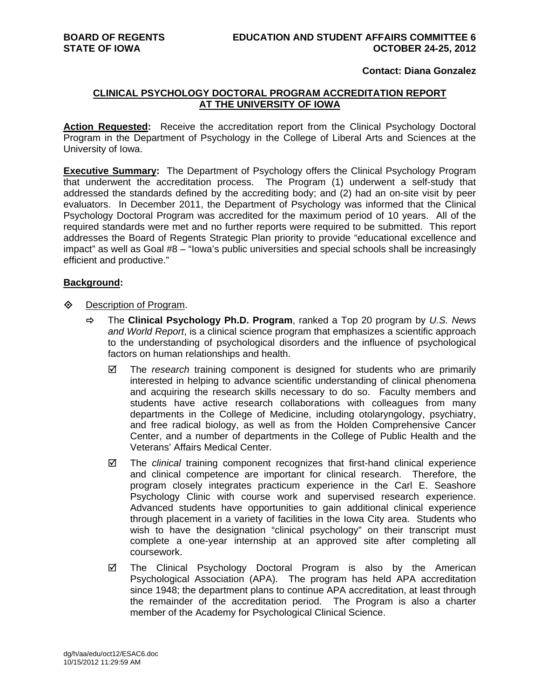## **Contact: Diana Gonzalez**

## **CLINICAL PSYCHOLOGY DOCTORAL PROGRAM ACCREDITATION REPORT AT THE UNIVERSITY OF IOWA**

**Action Requested:** Receive the accreditation report from the Clinical Psychology Doctoral Program in the Department of Psychology in the College of Liberal Arts and Sciences at the University of Iowa.

**Executive Summary:** The Department of Psychology offers the Clinical Psychology Program that underwent the accreditation process. The Program (1) underwent a self-study that addressed the standards defined by the accrediting body; and (2) had an on-site visit by peer evaluators. In December 2011, the Department of Psychology was informed that the Clinical Psychology Doctoral Program was accredited for the maximum period of 10 years. All of the required standards were met and no further reports were required to be submitted. This report addresses the Board of Regents Strategic Plan priority to provide "educational excellence and impact" as well as Goal #8 – "Iowa's public universities and special schools shall be increasingly efficient and productive."

## **Background:**

- **♦** Description of Program.
	- The **Clinical Psychology Ph.D. Program**, ranked a Top 20 program by *U.S. News and World Report*, is a clinical science program that emphasizes a scientific approach to the understanding of psychological disorders and the influence of psychological factors on human relationships and health.
		- The *research* training component is designed for students who are primarily interested in helping to advance scientific understanding of clinical phenomena and acquiring the research skills necessary to do so. Faculty members and students have active research collaborations with colleagues from many departments in the College of Medicine, including otolaryngology, psychiatry, and free radical biology, as well as from the Holden Comprehensive Cancer Center, and a number of departments in the College of Public Health and the Veterans' Affairs Medical Center.
		- The *clinical* training component recognizes that first-hand clinical experience and clinical competence are important for clinical research. Therefore, the program closely integrates practicum experience in the Carl E. Seashore Psychology Clinic with course work and supervised research experience. Advanced students have opportunities to gain additional clinical experience through placement in a variety of facilities in the Iowa City area. Students who wish to have the designation "clinical psychology" on their transcript must complete a one-year internship at an approved site after completing all coursework.
		- The Clinical Psychology Doctoral Program is also by the American Psychological Association (APA). The program has held APA accreditation since 1948; the department plans to continue APA accreditation, at least through the remainder of the accreditation period. The Program is also a charter member of the Academy for Psychological Clinical Science.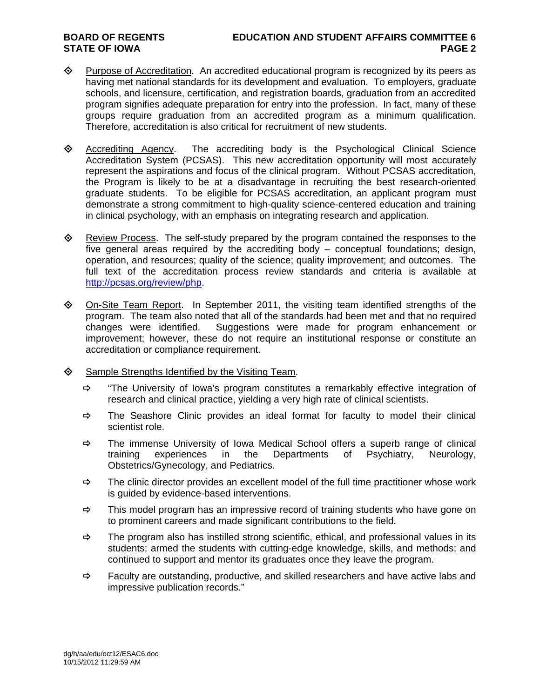- $\Diamond$  Purpose of Accreditation. An accredited educational program is recognized by its peers as having met national standards for its development and evaluation. To employers, graduate schools, and licensure, certification, and registration boards, graduation from an accredited program signifies adequate preparation for entry into the profession. In fact, many of these groups require graduation from an accredited program as a minimum qualification. Therefore, accreditation is also critical for recruitment of new students.
- $\diamond$  Accrediting Agency. The accrediting body is the Psychological Clinical Science Accreditation System (PCSAS). This new accreditation opportunity will most accurately represent the aspirations and focus of the clinical program. Without PCSAS accreditation, the Program is likely to be at a disadvantage in recruiting the best research-oriented graduate students. To be eligible for PCSAS accreditation, an applicant program must demonstrate a strong commitment to high-quality science-centered education and training in clinical psychology, with an emphasis on integrating research and application.
- $\Leftrightarrow$  Review Process. The self-study prepared by the program contained the responses to the five general areas required by the accrediting body – conceptual foundations; design, operation, and resources; quality of the science; quality improvement; and outcomes. The full text of the accreditation process review standards and criteria is available at http://pcsas.org/review/php.
- $\Diamond$  On-Site Team Report. In September 2011, the visiting team identified strengths of the program. The team also noted that all of the standards had been met and that no required changes were identified. Suggestions were made for program enhancement or improvement; however, these do not require an institutional response or constitute an accreditation or compliance requirement.
- $\diamond$  Sample Strengths Identified by the Visiting Team.
	- $\Rightarrow$  "The University of Iowa's program constitutes a remarkably effective integration of research and clinical practice, yielding a very high rate of clinical scientists.
	- $\Rightarrow$  The Seashore Clinic provides an ideal format for faculty to model their clinical scientist role.
	- $\Rightarrow$  The immense University of Iowa Medical School offers a superb range of clinical training experiences in the Departments of Psychiatry, Neurology, Obstetrics/Gynecology, and Pediatrics.
	- $\Rightarrow$  The clinic director provides an excellent model of the full time practitioner whose work is guided by evidence-based interventions.
	- $\Rightarrow$  This model program has an impressive record of training students who have gone on to prominent careers and made significant contributions to the field.
	- $\Rightarrow$  The program also has instilled strong scientific, ethical, and professional values in its students; armed the students with cutting-edge knowledge, skills, and methods; and continued to support and mentor its graduates once they leave the program.
	- $\Rightarrow$  Faculty are outstanding, productive, and skilled researchers and have active labs and impressive publication records."